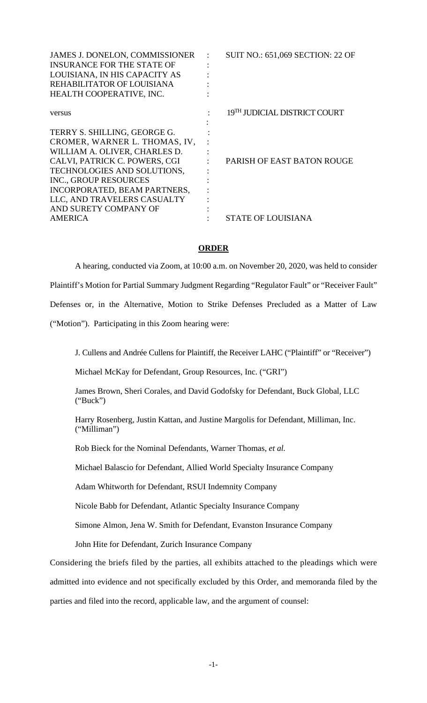| JAMES J. DONELON, COMMISSIONER<br><b>INSURANCE FOR THE STATE OF</b><br>LOUISIANA, IN HIS CAPACITY AS<br>REHABILITATOR OF LOUISIANA<br>HEALTH COOPERATIVE, INC.                                                                                                                  | <b>SUIT NO.: 651,069 SECTION: 22 OF</b>  |
|---------------------------------------------------------------------------------------------------------------------------------------------------------------------------------------------------------------------------------------------------------------------------------|------------------------------------------|
| versus                                                                                                                                                                                                                                                                          | 19 <sup>TH</sup> JUDICIAL DISTRICT COURT |
| TERRY S. SHILLING, GEORGE G.<br>CROMER, WARNER L. THOMAS, IV,<br>WILLIAM A. OLIVER, CHARLES D.<br>CALVI, PATRICK C. POWERS, CGI<br>TECHNOLOGIES AND SOLUTIONS,<br>INC., GROUP RESOURCES<br>INCORPORATED, BEAM PARTNERS,<br>LLC, AND TRAVELERS CASUALTY<br>AND SURETY COMPANY OF | PARISH OF EAST BATON ROUGE               |
| <b>AMERICA</b>                                                                                                                                                                                                                                                                  | STATE OF LOUISIANA                       |

## **ORDER**

A hearing, conducted via Zoom, at 10:00 a.m. on November 20, 2020, was held to consider Plaintiff's Motion for Partial Summary Judgment Regarding "Regulator Fault" or "Receiver Fault" Defenses or, in the Alternative, Motion to Strike Defenses Precluded as a Matter of Law ("Motion"). Participating in this Zoom hearing were:

J. Cullens and Andrée Cullens for Plaintiff, the Receiver LAHC ("Plaintiff" or "Receiver")

Michael McKay for Defendant, Group Resources, Inc. ("GRI")

James Brown, Sheri Corales, and David Godofsky for Defendant, Buck Global, LLC ("Buck")

Harry Rosenberg, Justin Kattan, and Justine Margolis for Defendant, Milliman, Inc. ("Milliman")

Rob Bieck for the Nominal Defendants, Warner Thomas, *et al.*

Michael Balascio for Defendant, Allied World Specialty Insurance Company

Adam Whitworth for Defendant, RSUI Indemnity Company

Nicole Babb for Defendant, Atlantic Specialty Insurance Company

Simone Almon, Jena W. Smith for Defendant, Evanston Insurance Company

John Hite for Defendant, Zurich Insurance Company

Considering the briefs filed by the parties, all exhibits attached to the pleadings which were admitted into evidence and not specifically excluded by this Order, and memoranda filed by the parties and filed into the record, applicable law, and the argument of counsel: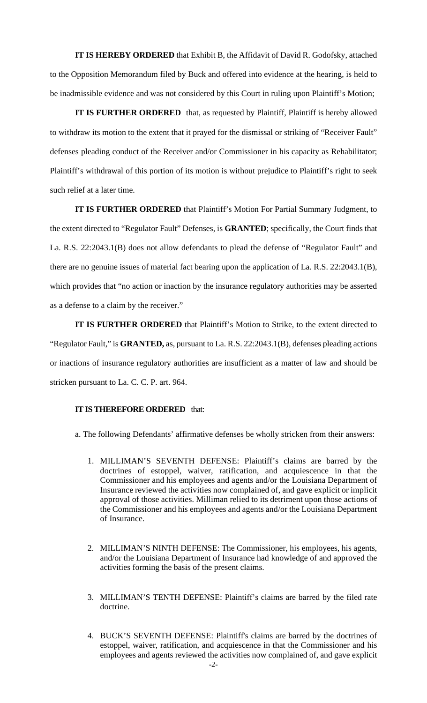**IT IS HEREBY ORDERED** that Exhibit B, the Affidavit of David R. Godofsky, attached to the Opposition Memorandum filed by Buck and offered into evidence at the hearing, is held to be inadmissible evidence and was not considered by this Court in ruling upon Plaintiff's Motion;

**IT IS FURTHER ORDERED** that, as requested by Plaintiff, Plaintiff is hereby allowed to withdraw its motion to the extent that it prayed for the dismissal or striking of "Receiver Fault" defenses pleading conduct of the Receiver and/or Commissioner in his capacity as Rehabilitator; Plaintiff's withdrawal of this portion of its motion is without prejudice to Plaintiff's right to seek such relief at a later time.

**IT IS FURTHER ORDERED** that Plaintiff's Motion For Partial Summary Judgment, to the extent directed to "Regulator Fault" Defenses, is **GRANTED**; specifically, the Court finds that La. R.S. 22:2043.1(B) does not allow defendants to plead the defense of "Regulator Fault" and there are no genuine issues of material fact bearing upon the application of La. R.S. 22:2043.1(B), which provides that "no action or inaction by the insurance regulatory authorities may be asserted as a defense to a claim by the receiver."

**IT IS FURTHER ORDERED** that Plaintiff's Motion to Strike, to the extent directed to "Regulator Fault," is **GRANTED,** as, pursuant to La. R.S. 22:2043.1(B), defenses pleading actions or inactions of insurance regulatory authorities are insufficient as a matter of law and should be stricken pursuant to La. C. C. P. art. 964.

### **IT IS THEREFORE ORDERED** that:

a. The following Defendants' affirmative defenses be wholly stricken from their answers:

- 1. MILLIMAN'S SEVENTH DEFENSE: Plaintiff's claims are barred by the doctrines of estoppel, waiver, ratification, and acquiescence in that the Commissioner and his employees and agents and/or the Louisiana Department of Insurance reviewed the activities now complained of, and gave explicit or implicit approval of those activities. Milliman relied to its detriment upon those actions of the Commissioner and his employees and agents and/or the Louisiana Department of Insurance.
- 2. MILLIMAN'S NINTH DEFENSE: The Commissioner, his employees, his agents, and/or the Louisiana Department of Insurance had knowledge of and approved the activities forming the basis of the present claims.
- 3. MILLIMAN'S TENTH DEFENSE: Plaintiff's claims are barred by the filed rate doctrine.
- 4. BUCK'S SEVENTH DEFENSE: Plaintiff's claims are barred by the doctrines of estoppel, waiver, ratification, and acquiescence in that the Commissioner and his employees and agents reviewed the activities now complained of, and gave explicit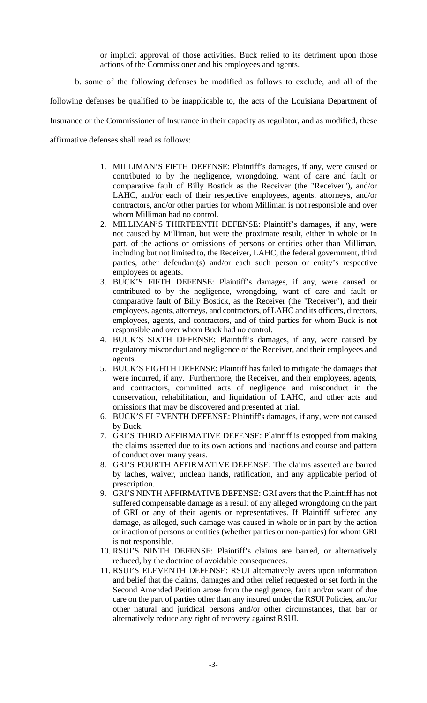or implicit approval of those activities. Buck relied to its detriment upon those actions of the Commissioner and his employees and agents.

b. some of the following defenses be modified as follows to exclude, and all of the

following defenses be qualified to be inapplicable to, the acts of the Louisiana Department of

Insurance or the Commissioner of Insurance in their capacity as regulator, and as modified, these

affirmative defenses shall read as follows:

- 1. MILLIMAN'S FIFTH DEFENSE: Plaintiff's damages, if any, were caused or contributed to by the negligence, wrongdoing, want of care and fault or comparative fault of Billy Bostick as the Receiver (the "Receiver"), and/or LAHC, and/or each of their respective employees, agents, attorneys, and/or contractors, and/or other parties for whom Milliman is not responsible and over whom Milliman had no control.
- 2. MILLIMAN'S THIRTEENTH DEFENSE: Plaintiff's damages, if any, were not caused by Milliman, but were the proximate result, either in whole or in part, of the actions or omissions of persons or entities other than Milliman, including but not limited to, the Receiver, LAHC, the federal government, third parties, other defendant(s) and/or each such person or entity's respective employees or agents.
- 3. BUCK'S FIFTH DEFENSE: Plaintiff's damages, if any, were caused or contributed to by the negligence, wrongdoing, want of care and fault or comparative fault of Billy Bostick, as the Receiver (the "Receiver"), and their employees, agents, attorneys, and contractors, of LAHC and its officers, directors, employees, agents, and contractors, and of third parties for whom Buck is not responsible and over whom Buck had no control.
- 4. BUCK'S SIXTH DEFENSE: Plaintiff's damages, if any, were caused by regulatory misconduct and negligence of the Receiver, and their employees and agents.
- 5. BUCK'S EIGHTH DEFENSE: Plaintiff has failed to mitigate the damages that were incurred, if any. Furthermore, the Receiver, and their employees, agents, and contractors, committed acts of negligence and misconduct in the conservation, rehabilitation, and liquidation of LAHC, and other acts and omissions that may be discovered and presented at trial.
- 6. BUCK'S ELEVENTH DEFENSE: Plaintiff's damages, if any, were not caused by Buck.
- 7. GRI'S THIRD AFFIRMATIVE DEFENSE: Plaintiff is estopped from making the claims asserted due to its own actions and inactions and course and pattern of conduct over many years.
- 8. GRI'S FOURTH AFFIRMATIVE DEFENSE: The claims asserted are barred by laches, waiver, unclean hands, ratification, and any applicable period of prescription.
- 9. GRI'S NINTH AFFIRMATIVE DEFENSE: GRI avers that the Plaintiff has not suffered compensable damage as a result of any alleged wrongdoing on the part of GRI or any of their agents or representatives. If Plaintiff suffered any damage, as alleged, such damage was caused in whole or in part by the action or inaction of persons or entities (whether parties or non-parties) for whom GRI is not responsible.
- 10. RSUI'S NINTH DEFENSE: Plaintiff's claims are barred, or alternatively reduced, by the doctrine of avoidable consequences.
- 11. RSUI'S ELEVENTH DEFENSE: RSUI alternatively avers upon information and belief that the claims, damages and other relief requested or set forth in the Second Amended Petition arose from the negligence, fault and/or want of due care on the part of parties other than any insured under the RSUI Policies, and/or other natural and juridical persons and/or other circumstances, that bar or alternatively reduce any right of recovery against RSUI.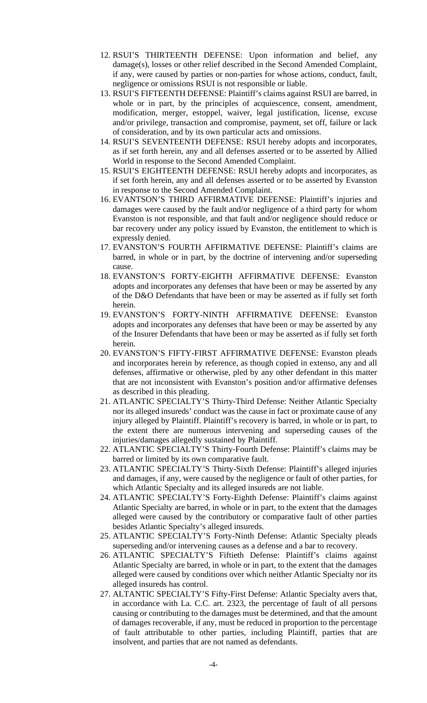- 12. RSUI'S THIRTEENTH DEFENSE: Upon information and belief, any damage(s), losses or other relief described in the Second Amended Complaint, if any, were caused by parties or non-parties for whose actions, conduct, fault, negligence or omissions RSUI is not responsible or liable.
- 13. RSUI'S FIFTEENTH DEFENSE: Plaintiff's claims against RSUI are barred, in whole or in part, by the principles of acquiescence, consent, amendment, modification, merger, estoppel, waiver, legal justification, license, excuse and/or privilege, transaction and compromise, payment, set off, failure or lack of consideration, and by its own particular acts and omissions.
- 14. RSUI'S SEVENTEENTH DEFENSE: RSUI hereby adopts and incorporates, as if set forth herein, any and all defenses asserted or to be asserted by Allied World in response to the Second Amended Complaint.
- 15. RSUI'S EIGHTEENTH DEFENSE: RSUI hereby adopts and incorporates, as if set forth herein, any and all defenses asserted or to be asserted by Evanston in response to the Second Amended Complaint.
- 16. EVANTSON'S THIRD AFFIRMATIVE DEFENSE: Plaintiff's injuries and damages were caused by the fault and/or negligence of a third party for whom Evanston is not responsible, and that fault and/or negligence should reduce or bar recovery under any policy issued by Evanston, the entitlement to which is expressly denied.
- 17. EVANSTON'S FOURTH AFFIRMATIVE DEFENSE: Plaintiff's claims are barred, in whole or in part, by the doctrine of intervening and/or superseding cause.
- 18. EVANSTON'S FORTY-EIGHTH AFFIRMATIVE DEFENSE: Evanston adopts and incorporates any defenses that have been or may be asserted by any of the D&O Defendants that have been or may be asserted as if fully set forth herein.
- 19. EVANSTON'S FORTY-NINTH AFFIRMATIVE DEFENSE: Evanston adopts and incorporates any defenses that have been or may be asserted by any of the Insurer Defendants that have been or may be asserted as if fully set forth herein.
- 20. EVANSTON'S FIFTY-FIRST AFFIRMATIVE DEFENSE: Evanston pleads and incorporates herein by reference, as though copied in extenso, any and all defenses, affirmative or otherwise, pled by any other defendant in this matter that are not inconsistent with Evanston's position and/or affirmative defenses as described in this pleading.
- 21. ATLANTIC SPECIALTY'S Thirty-Third Defense: Neither Atlantic Specialty nor its alleged insureds' conduct was the cause in fact or proximate cause of any injury alleged by Plaintiff. Plaintiff's recovery is barred, in whole or in part, to the extent there are numerous intervening and superseding causes of the injuries/damages allegedly sustained by Plaintiff.
- 22. ATLANTIC SPECIALTY'S Thirty-Fourth Defense: Plaintiff's claims may be barred or limited by its own comparative fault.
- 23. ATLANTIC SPECIALTY'S Thirty-Sixth Defense: Plaintiff's alleged injuries and damages, if any, were caused by the negligence or fault of other parties, for which Atlantic Specialty and its alleged insureds are not liable.
- 24. ATLANTIC SPECIALTY'S Forty-Eighth Defense: Plaintiff's claims against Atlantic Specialty are barred, in whole or in part, to the extent that the damages alleged were caused by the contributory or comparative fault of other parties besides Atlantic Specialty's alleged insureds.
- 25. ATLANTIC SPECIALTY'S Forty-Ninth Defense: Atlantic Specialty pleads superseding and/or intervening causes as a defense and a bar to recovery.
- 26. ATLANTIC SPECIALTY'S Fiftieth Defense: Plaintiff's claims against Atlantic Specialty are barred, in whole or in part, to the extent that the damages alleged were caused by conditions over which neither Atlantic Specialty nor its alleged insureds has control.
- 27. ALTANTIC SPECIALTY'S Fifty-First Defense: Atlantic Specialty avers that, in accordance with La. C.C. art. 2323, the percentage of fault of all persons causing or contributing to the damages must be determined, and that the amount of damages recoverable, if any, must be reduced in proportion to the percentage of fault attributable to other parties, including Plaintiff, parties that are insolvent, and parties that are not named as defendants.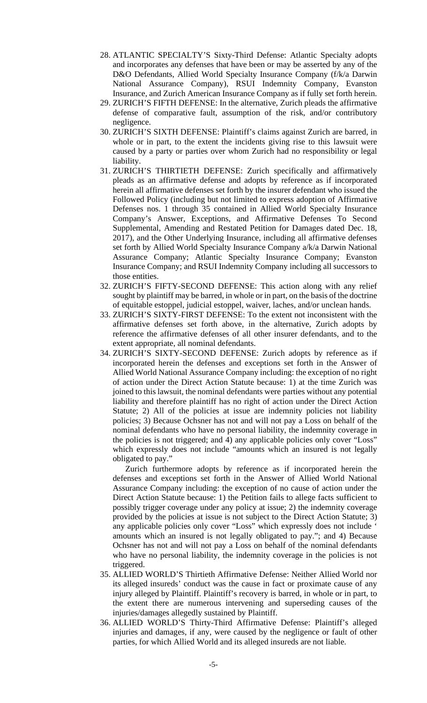- 28. ATLANTIC SPECIALTY'S Sixty-Third Defense: Atlantic Specialty adopts and incorporates any defenses that have been or may be asserted by any of the D&O Defendants, Allied World Specialty Insurance Company (f/k/a Darwin National Assurance Company), RSUI Indemnity Company, Evanston Insurance, and Zurich American Insurance Company as if fully set forth herein.
- 29. ZURICH'S FIFTH DEFENSE: In the alternative, Zurich pleads the affirmative defense of comparative fault, assumption of the risk, and/or contributory negligence.
- 30. ZURICH'S SIXTH DEFENSE: Plaintiff's claims against Zurich are barred, in whole or in part, to the extent the incidents giving rise to this lawsuit were caused by a party or parties over whom Zurich had no responsibility or legal liability.
- 31. ZURICH'S THIRTIETH DEFENSE: Zurich specifically and affirmatively pleads as an affirmative defense and adopts by reference as if incorporated herein all affirmative defenses set forth by the insurer defendant who issued the Followed Policy (including but not limited to express adoption of Affirmative Defenses nos. 1 through 35 contained in Allied World Specialty Insurance Company's Answer, Exceptions, and Affirmative Defenses To Second Supplemental, Amending and Restated Petition for Damages dated Dec. 18, 2017), and the Other Underlying Insurance, including all affirmative defenses set forth by Allied World Specialty Insurance Company a/k/a Darwin National Assurance Company; Atlantic Specialty Insurance Company; Evanston Insurance Company; and RSUI Indemnity Company including all successors to those entities.
- 32. ZURICH'S FIFTY-SECOND DEFENSE: This action along with any relief sought by plaintiff may be barred, in whole or in part, on the basis of the doctrine of equitable estoppel, judicial estoppel, waiver, laches, and/or unclean hands.
- 33. ZURICH'S SIXTY-FIRST DEFENSE: To the extent not inconsistent with the affirmative defenses set forth above, in the alternative, Zurich adopts by reference the affirmative defenses of all other insurer defendants, and to the extent appropriate, all nominal defendants.
- 34. ZURICH'S SIXTY-SECOND DEFENSE: Zurich adopts by reference as if incorporated herein the defenses and exceptions set forth in the Answer of Allied World National Assurance Company including: the exception of no right of action under the Direct Action Statute because: 1) at the time Zurich was joined to this lawsuit, the nominal defendants were parties without any potential liability and therefore plaintiff has no right of action under the Direct Action Statute; 2) All of the policies at issue are indemnity policies not liability policies; 3) Because Ochsner has not and will not pay a Loss on behalf of the nominal defendants who have no personal liability, the indemnity coverage in the policies is not triggered; and 4) any applicable policies only cover "Loss" which expressly does not include "amounts which an insured is not legally obligated to pay."

Zurich furthermore adopts by reference as if incorporated herein the defenses and exceptions set forth in the Answer of Allied World National Assurance Company including: the exception of no cause of action under the Direct Action Statute because: 1) the Petition fails to allege facts sufficient to possibly trigger coverage under any policy at issue; 2) the indemnity coverage provided by the policies at issue is not subject to the Direct Action Statute; 3) any applicable policies only cover "Loss" which expressly does not include ' amounts which an insured is not legally obligated to pay."; and 4) Because Ochsner has not and will not pay a Loss on behalf of the nominal defendants who have no personal liability, the indemnity coverage in the policies is not triggered.

- 35. ALLIED WORLD'S Thirtieth Affirmative Defense: Neither Allied World nor its alleged insureds' conduct was the cause in fact or proximate cause of any injury alleged by Plaintiff. Plaintiff's recovery is barred, in whole or in part, to the extent there are numerous intervening and superseding causes of the injuries/damages allegedly sustained by Plaintiff.
- 36. ALLIED WORLD'S Thirty-Third Affirmative Defense: Plaintiff's alleged injuries and damages, if any, were caused by the negligence or fault of other parties, for which Allied World and its alleged insureds are not liable.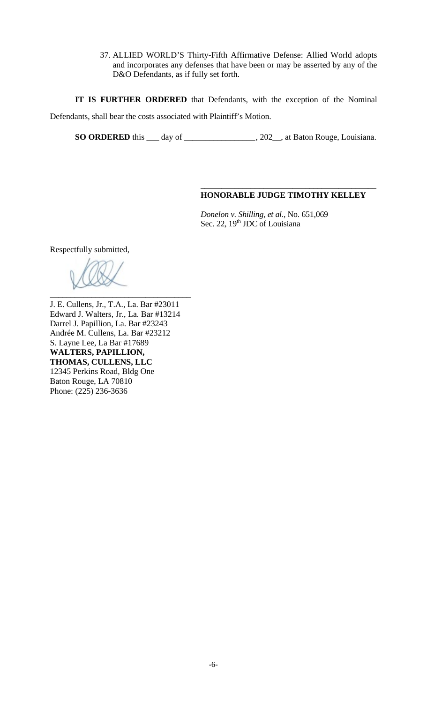37. ALLIED WORLD'S Thirty-Fifth Affirmative Defense: Allied World adopts and incorporates any defenses that have been or may be asserted by any of the D&O Defendants, as if fully set forth.

**IT IS FURTHER ORDERED** that Defendants, with the exception of the Nominal Defendants, shall bear the costs associated with Plaintiff's Motion.

**SO ORDERED** this \_\_\_ day of \_\_\_\_\_\_\_\_\_\_\_\_\_\_\_\_\_, 202\_\_, at Baton Rouge, Louisiana.

#### **HONORABLE JUDGE TIMOTHY KELLEY**

**\_\_\_\_\_\_\_\_\_\_\_\_\_\_\_\_\_\_\_\_\_\_\_\_\_\_\_\_\_\_\_\_\_\_\_\_\_\_\_\_\_\_** 

*Donelon v. Shilling, et al*., No. 651,069 Sec. 22, 19<sup>th</sup> JDC of Louisiana

Respectfully submitted,

 $\overline{\phantom{a}}$  ,  $\overline{\phantom{a}}$  ,  $\overline{\phantom{a}}$  ,  $\overline{\phantom{a}}$  ,  $\overline{\phantom{a}}$  ,  $\overline{\phantom{a}}$  ,  $\overline{\phantom{a}}$  ,  $\overline{\phantom{a}}$  ,  $\overline{\phantom{a}}$  ,  $\overline{\phantom{a}}$  ,  $\overline{\phantom{a}}$  ,  $\overline{\phantom{a}}$  ,  $\overline{\phantom{a}}$  ,  $\overline{\phantom{a}}$  ,  $\overline{\phantom{a}}$  ,  $\overline{\phantom{a}}$ 

J. E. Cullens, Jr., T.A., La. Bar #23011 Edward J. Walters, Jr., La. Bar #13214 Darrel J. Papillion, La. Bar #23243 Andrée M. Cullens, La. Bar #23212 S. Layne Lee, La Bar #17689 **WALTERS, PAPILLION, THOMAS, CULLENS, LLC**  12345 Perkins Road, Bldg One Baton Rouge, LA 70810 Phone: (225) 236-3636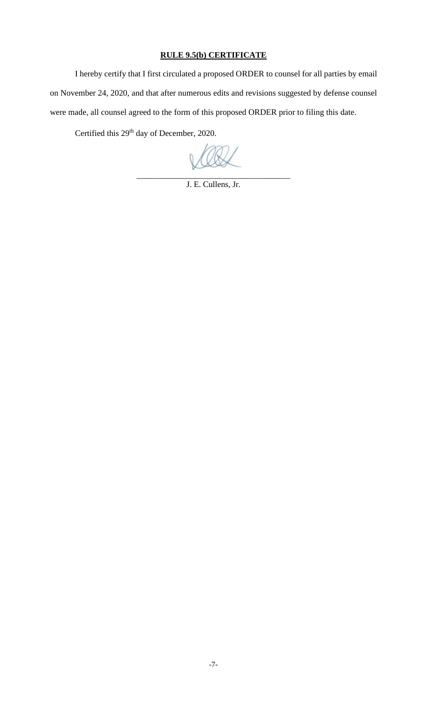# **RULE 9.5(b) CERTIFICATE**

I hereby certify that I first circulated a proposed ORDER to counsel for all parties by email on November 24, 2020, and that after numerous edits and revisions suggested by defense counsel were made, all counsel agreed to the form of this proposed ORDER prior to filing this date.

Certified this 29<sup>th</sup> day of December, 2020.

\_\_\_\_\_\_\_\_\_\_\_\_\_\_\_\_\_\_\_\_\_\_\_\_\_\_\_\_\_\_\_\_\_\_\_\_\_

J. E. Cullens, Jr.